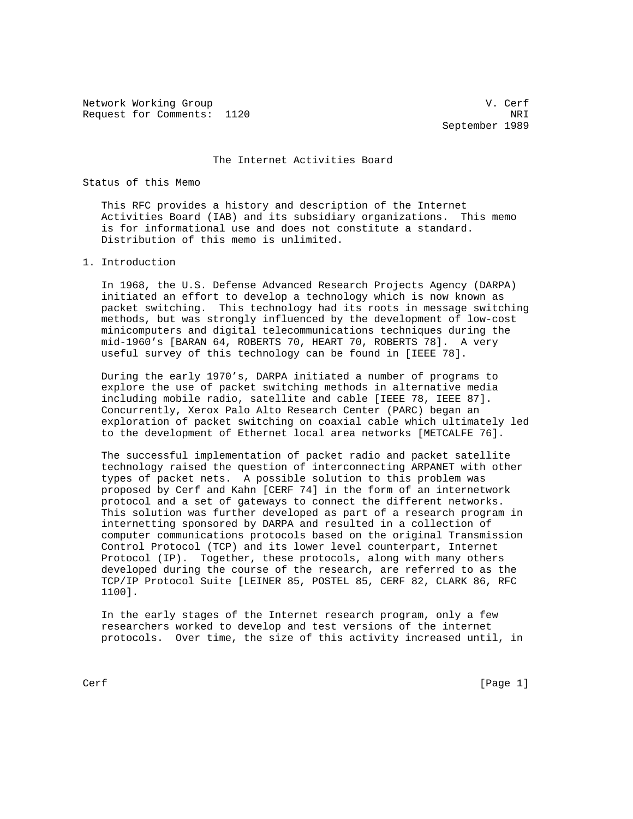Network Working Group van de verfanging van de verfanging van de verfanging van de verfanging van de verfanging van de verfanging van de verfanging van de verfanging van de verfanging van de verfanging van de verfanging va Request for Comments: 1120 NRI

September 1989

The Internet Activities Board

Status of this Memo

 This RFC provides a history and description of the Internet Activities Board (IAB) and its subsidiary organizations. This memo is for informational use and does not constitute a standard. Distribution of this memo is unlimited.

## 1. Introduction

 In 1968, the U.S. Defense Advanced Research Projects Agency (DARPA) initiated an effort to develop a technology which is now known as packet switching. This technology had its roots in message switching methods, but was strongly influenced by the development of low-cost minicomputers and digital telecommunications techniques during the mid-1960's [BARAN 64, ROBERTS 70, HEART 70, ROBERTS 78]. A very useful survey of this technology can be found in [IEEE 78].

 During the early 1970's, DARPA initiated a number of programs to explore the use of packet switching methods in alternative media including mobile radio, satellite and cable [IEEE 78, IEEE 87]. Concurrently, Xerox Palo Alto Research Center (PARC) began an exploration of packet switching on coaxial cable which ultimately led to the development of Ethernet local area networks [METCALFE 76].

 The successful implementation of packet radio and packet satellite technology raised the question of interconnecting ARPANET with other types of packet nets. A possible solution to this problem was proposed by Cerf and Kahn [CERF 74] in the form of an internetwork protocol and a set of gateways to connect the different networks. This solution was further developed as part of a research program in internetting sponsored by DARPA and resulted in a collection of computer communications protocols based on the original Transmission Control Protocol (TCP) and its lower level counterpart, Internet Protocol (IP). Together, these protocols, along with many others developed during the course of the research, are referred to as the TCP/IP Protocol Suite [LEINER 85, POSTEL 85, CERF 82, CLARK 86, RFC 1100].

 In the early stages of the Internet research program, only a few researchers worked to develop and test versions of the internet protocols. Over time, the size of this activity increased until, in

Cerf [Page 1]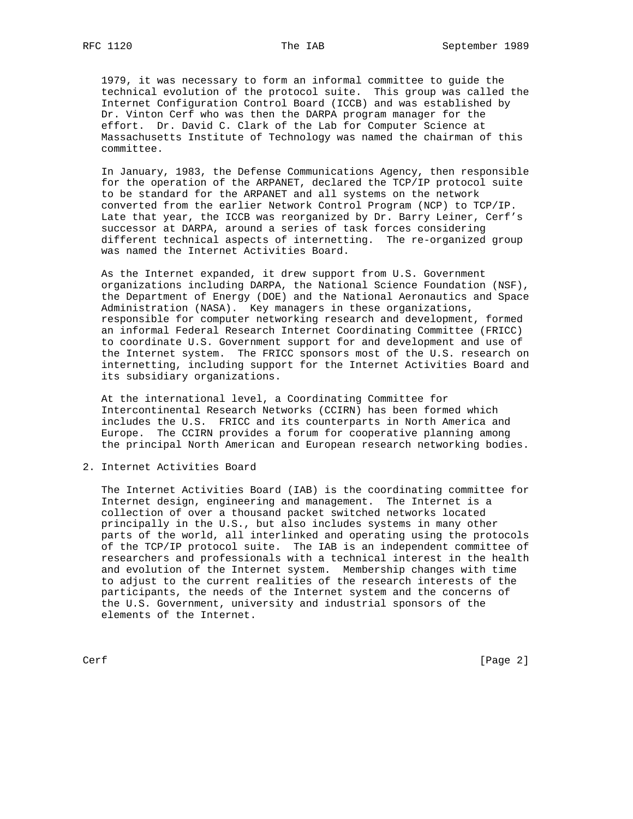1979, it was necessary to form an informal committee to guide the technical evolution of the protocol suite. This group was called the

 Internet Configuration Control Board (ICCB) and was established by Dr. Vinton Cerf who was then the DARPA program manager for the effort. Dr. David C. Clark of the Lab for Computer Science at Massachusetts Institute of Technology was named the chairman of this committee.

 In January, 1983, the Defense Communications Agency, then responsible for the operation of the ARPANET, declared the TCP/IP protocol suite to be standard for the ARPANET and all systems on the network converted from the earlier Network Control Program (NCP) to TCP/IP. Late that year, the ICCB was reorganized by Dr. Barry Leiner, Cerf's successor at DARPA, around a series of task forces considering different technical aspects of internetting. The re-organized group was named the Internet Activities Board.

 As the Internet expanded, it drew support from U.S. Government organizations including DARPA, the National Science Foundation (NSF), the Department of Energy (DOE) and the National Aeronautics and Space Administration (NASA). Key managers in these organizations, responsible for computer networking research and development, formed an informal Federal Research Internet Coordinating Committee (FRICC) to coordinate U.S. Government support for and development and use of the Internet system. The FRICC sponsors most of the U.S. research on internetting, including support for the Internet Activities Board and its subsidiary organizations.

 At the international level, a Coordinating Committee for Intercontinental Research Networks (CCIRN) has been formed which includes the U.S. FRICC and its counterparts in North America and Europe. The CCIRN provides a forum for cooperative planning among the principal North American and European research networking bodies.

2. Internet Activities Board

 The Internet Activities Board (IAB) is the coordinating committee for Internet design, engineering and management. The Internet is a collection of over a thousand packet switched networks located principally in the U.S., but also includes systems in many other parts of the world, all interlinked and operating using the protocols of the TCP/IP protocol suite. The IAB is an independent committee of researchers and professionals with a technical interest in the health and evolution of the Internet system. Membership changes with time to adjust to the current realities of the research interests of the participants, the needs of the Internet system and the concerns of the U.S. Government, university and industrial sponsors of the elements of the Internet.

Cerf [Page 2]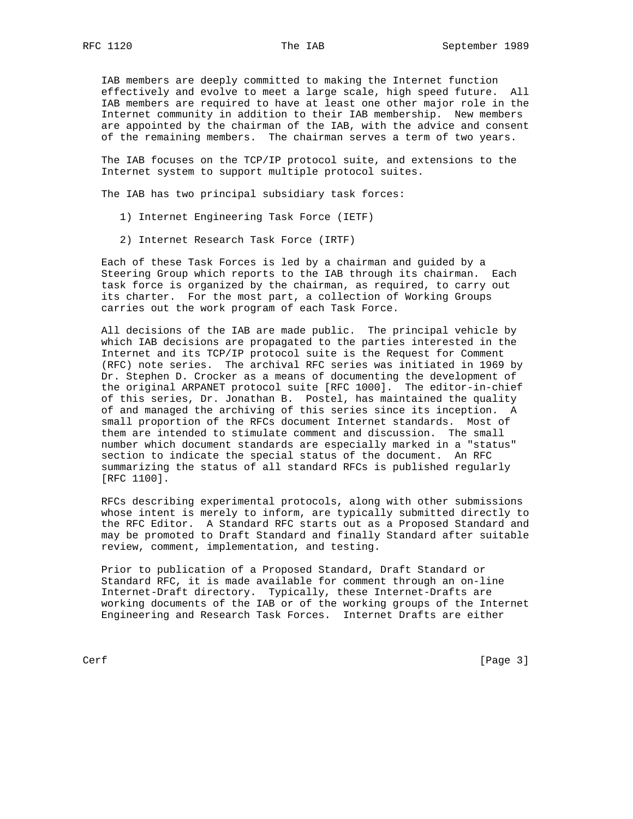IAB members are deeply committed to making the Internet function effectively and evolve to meet a large scale, high speed future. All IAB members are required to have at least one other major role in the Internet community in addition to their IAB membership. New members are appointed by the chairman of the IAB, with the advice and consent of the remaining members. The chairman serves a term of two years.

 The IAB focuses on the TCP/IP protocol suite, and extensions to the Internet system to support multiple protocol suites.

The IAB has two principal subsidiary task forces:

- 1) Internet Engineering Task Force (IETF)
- 2) Internet Research Task Force (IRTF)

 Each of these Task Forces is led by a chairman and guided by a Steering Group which reports to the IAB through its chairman. Each task force is organized by the chairman, as required, to carry out its charter. For the most part, a collection of Working Groups carries out the work program of each Task Force.

 All decisions of the IAB are made public. The principal vehicle by which IAB decisions are propagated to the parties interested in the Internet and its TCP/IP protocol suite is the Request for Comment (RFC) note series. The archival RFC series was initiated in 1969 by Dr. Stephen D. Crocker as a means of documenting the development of the original ARPANET protocol suite [RFC 1000]. The editor-in-chief of this series, Dr. Jonathan B. Postel, has maintained the quality of and managed the archiving of this series since its inception. A small proportion of the RFCs document Internet standards. Most of them are intended to stimulate comment and discussion. The small number which document standards are especially marked in a "status" section to indicate the special status of the document. An RFC summarizing the status of all standard RFCs is published regularly [RFC 1100].

 RFCs describing experimental protocols, along with other submissions whose intent is merely to inform, are typically submitted directly to the RFC Editor. A Standard RFC starts out as a Proposed Standard and may be promoted to Draft Standard and finally Standard after suitable review, comment, implementation, and testing.

 Prior to publication of a Proposed Standard, Draft Standard or Standard RFC, it is made available for comment through an on-line Internet-Draft directory. Typically, these Internet-Drafts are working documents of the IAB or of the working groups of the Internet Engineering and Research Task Forces. Internet Drafts are either

Cerf [Page 3]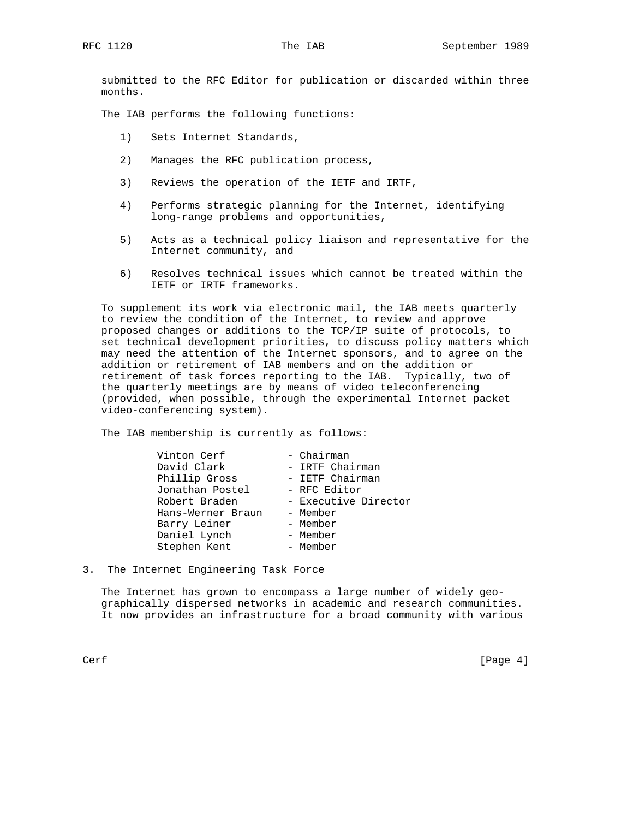submitted to the RFC Editor for publication or discarded within three months.

The IAB performs the following functions:

- 1) Sets Internet Standards,
- 2) Manages the RFC publication process,
- 3) Reviews the operation of the IETF and IRTF,
- 4) Performs strategic planning for the Internet, identifying long-range problems and opportunities,
- 5) Acts as a technical policy liaison and representative for the Internet community, and
- 6) Resolves technical issues which cannot be treated within the IETF or IRTF frameworks.

 To supplement its work via electronic mail, the IAB meets quarterly to review the condition of the Internet, to review and approve proposed changes or additions to the TCP/IP suite of protocols, to set technical development priorities, to discuss policy matters which may need the attention of the Internet sponsors, and to agree on the addition or retirement of IAB members and on the addition or retirement of task forces reporting to the IAB. Typically, two of the quarterly meetings are by means of video teleconferencing (provided, when possible, through the experimental Internet packet video-conferencing system).

The IAB membership is currently as follows:

| Vinton Cerf       | - Chairman           |
|-------------------|----------------------|
| David Clark       | - IRTF Chairman      |
| Phillip Gross     | - IETF Chairman      |
| Jonathan Postel   | - RFC Editor         |
| Robert Braden     | - Executive Director |
| Hans-Werner Braun | - Member             |
| Barry Leiner      | - Member             |
| Daniel Lynch      | - Member             |
| Stephen Kent      | - Member             |

3. The Internet Engineering Task Force

 The Internet has grown to encompass a large number of widely geo graphically dispersed networks in academic and research communities. It now provides an infrastructure for a broad community with various

Cerf [Page 4]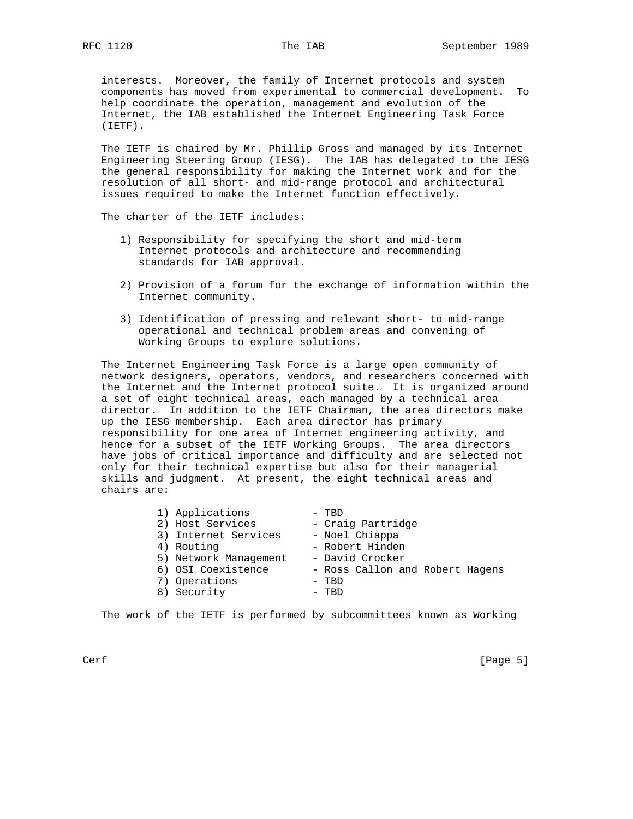interests. Moreover, the family of Internet protocols and system components has moved from experimental to commercial development. To help coordinate the operation, management and evolution of the Internet, the IAB established the Internet Engineering Task Force (IETF).

 The IETF is chaired by Mr. Phillip Gross and managed by its Internet Engineering Steering Group (IESG). The IAB has delegated to the IESG the general responsibility for making the Internet work and for the resolution of all short- and mid-range protocol and architectural issues required to make the Internet function effectively.

The charter of the IETF includes:

- 1) Responsibility for specifying the short and mid-term Internet protocols and architecture and recommending standards for IAB approval.
- 2) Provision of a forum for the exchange of information within the Internet community.
- 3) Identification of pressing and relevant short- to mid-range operational and technical problem areas and convening of Working Groups to explore solutions.

 The Internet Engineering Task Force is a large open community of network designers, operators, vendors, and researchers concerned with the Internet and the Internet protocol suite. It is organized around a set of eight technical areas, each managed by a technical area director. In addition to the IETF Chairman, the area directors make up the IESG membership. Each area director has primary responsibility for one area of Internet engineering activity, and hence for a subset of the IETF Working Groups. The area directors have jobs of critical importance and difficulty and are selected not only for their technical expertise but also for their managerial skills and judgment. At present, the eight technical areas and chairs are:

| 1) Applications       | - TBD                           |
|-----------------------|---------------------------------|
| 2) Host Services      | - Craig Partridge               |
| 3) Internet Services  | - Noel Chiappa                  |
| 4) Routing            | - Robert Hinden                 |
| 5) Network Management | - David Crocker                 |
| 6) OSI Coexistence    | - Ross Callon and Robert Hagens |
| 7) Operations         | - TBD                           |
| 8) Security           | - TBD                           |
|                       |                                 |

The work of the IETF is performed by subcommittees known as Working

Cerf [Page 5]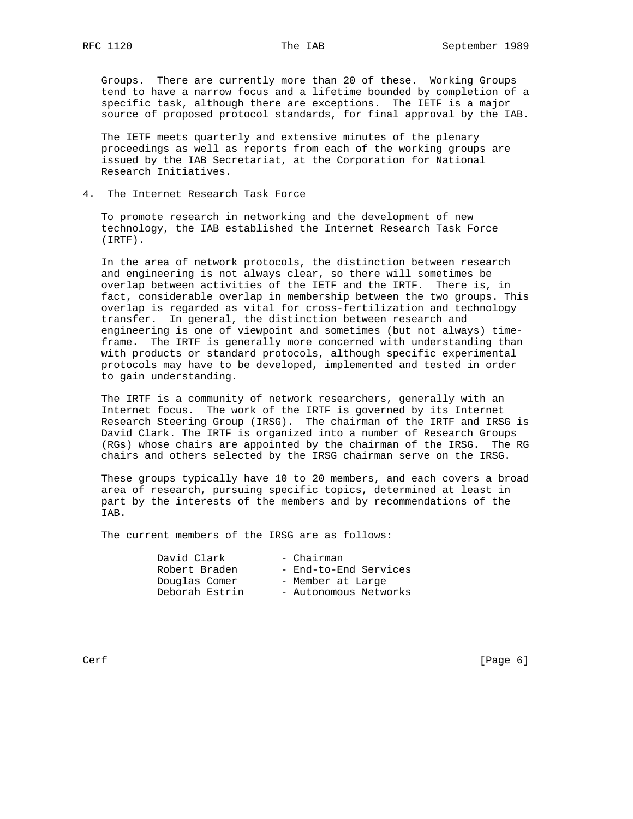Groups. There are currently more than 20 of these. Working Groups tend to have a narrow focus and a lifetime bounded by completion of a specific task, although there are exceptions. The IETF is a major source of proposed protocol standards, for final approval by the IAB.

 The IETF meets quarterly and extensive minutes of the plenary proceedings as well as reports from each of the working groups are issued by the IAB Secretariat, at the Corporation for National Research Initiatives.

4. The Internet Research Task Force

 To promote research in networking and the development of new technology, the IAB established the Internet Research Task Force (IRTF).

 In the area of network protocols, the distinction between research and engineering is not always clear, so there will sometimes be overlap between activities of the IETF and the IRTF. There is, in fact, considerable overlap in membership between the two groups. This overlap is regarded as vital for cross-fertilization and technology transfer. In general, the distinction between research and engineering is one of viewpoint and sometimes (but not always) time frame. The IRTF is generally more concerned with understanding than with products or standard protocols, although specific experimental protocols may have to be developed, implemented and tested in order to gain understanding.

 The IRTF is a community of network researchers, generally with an Internet focus. The work of the IRTF is governed by its Internet Research Steering Group (IRSG). The chairman of the IRTF and IRSG is David Clark. The IRTF is organized into a number of Research Groups (RGs) whose chairs are appointed by the chairman of the IRSG. The RG chairs and others selected by the IRSG chairman serve on the IRSG.

 These groups typically have 10 to 20 members, and each covers a broad area of research, pursuing specific topics, determined at least in part by the interests of the members and by recommendations of the IAB.

The current members of the IRSG are as follows:

| David Clark    | - Chairman            |
|----------------|-----------------------|
| Robert Braden  | - End-to-End Services |
| Douglas Comer  | - Member at Large     |
| Deborah Estrin | - Autonomous Networks |

Cerf [Page 6]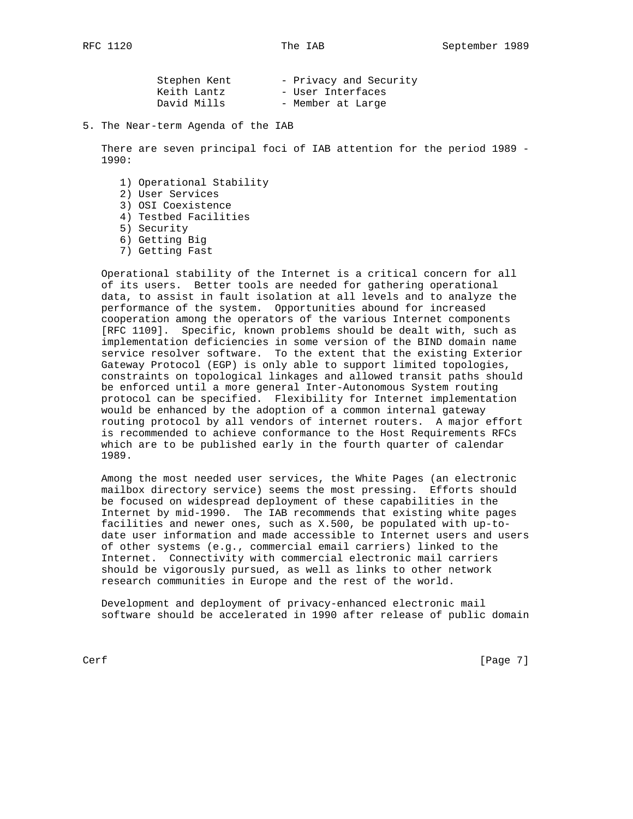| Stephen Kent | - Privacy and Security |
|--------------|------------------------|
| Keith Lantz  | - User Interfaces      |
| David Mills  | - Member at Large      |

5. The Near-term Agenda of the IAB

 There are seven principal foci of IAB attention for the period 1989 - 1990:

- 1) Operational Stability
- 2) User Services
- 3) OSI Coexistence
- 4) Testbed Facilities
- 5) Security
- 6) Getting Big
- 7) Getting Fast

 Operational stability of the Internet is a critical concern for all of its users. Better tools are needed for gathering operational data, to assist in fault isolation at all levels and to analyze the performance of the system. Opportunities abound for increased cooperation among the operators of the various Internet components [RFC 1109]. Specific, known problems should be dealt with, such as implementation deficiencies in some version of the BIND domain name service resolver software. To the extent that the existing Exterior Gateway Protocol (EGP) is only able to support limited topologies, constraints on topological linkages and allowed transit paths should be enforced until a more general Inter-Autonomous System routing protocol can be specified. Flexibility for Internet implementation would be enhanced by the adoption of a common internal gateway routing protocol by all vendors of internet routers. A major effort is recommended to achieve conformance to the Host Requirements RFCs which are to be published early in the fourth quarter of calendar 1989.

 Among the most needed user services, the White Pages (an electronic mailbox directory service) seems the most pressing. Efforts should be focused on widespread deployment of these capabilities in the Internet by mid-1990. The IAB recommends that existing white pages facilities and newer ones, such as X.500, be populated with up-to date user information and made accessible to Internet users and users of other systems (e.g., commercial email carriers) linked to the Internet. Connectivity with commercial electronic mail carriers should be vigorously pursued, as well as links to other network research communities in Europe and the rest of the world.

 Development and deployment of privacy-enhanced electronic mail software should be accelerated in 1990 after release of public domain

Cerf [Page 7]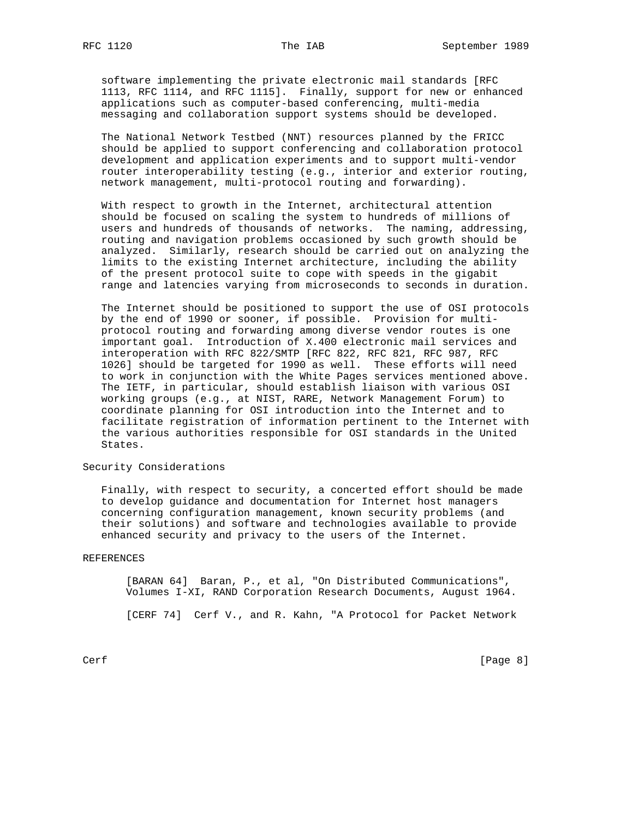messaging and collaboration support systems should be developed.

 software implementing the private electronic mail standards [RFC 1113, RFC 1114, and RFC 1115]. Finally, support for new or enhanced applications such as computer-based conferencing, multi-media

 The National Network Testbed (NNT) resources planned by the FRICC should be applied to support conferencing and collaboration protocol development and application experiments and to support multi-vendor router interoperability testing (e.g., interior and exterior routing, network management, multi-protocol routing and forwarding).

 With respect to growth in the Internet, architectural attention should be focused on scaling the system to hundreds of millions of users and hundreds of thousands of networks. The naming, addressing, routing and navigation problems occasioned by such growth should be analyzed. Similarly, research should be carried out on analyzing the limits to the existing Internet architecture, including the ability of the present protocol suite to cope with speeds in the gigabit range and latencies varying from microseconds to seconds in duration.

 The Internet should be positioned to support the use of OSI protocols by the end of 1990 or sooner, if possible. Provision for multi protocol routing and forwarding among diverse vendor routes is one important goal. Introduction of X.400 electronic mail services and interoperation with RFC 822/SMTP [RFC 822, RFC 821, RFC 987, RFC 1026] should be targeted for 1990 as well. These efforts will need to work in conjunction with the White Pages services mentioned above. The IETF, in particular, should establish liaison with various OSI working groups (e.g., at NIST, RARE, Network Management Forum) to coordinate planning for OSI introduction into the Internet and to facilitate registration of information pertinent to the Internet with the various authorities responsible for OSI standards in the United States.

Security Considerations

 Finally, with respect to security, a concerted effort should be made to develop guidance and documentation for Internet host managers concerning configuration management, known security problems (and their solutions) and software and technologies available to provide enhanced security and privacy to the users of the Internet.

## REFERENCES

 [BARAN 64] Baran, P., et al, "On Distributed Communications", Volumes I-XI, RAND Corporation Research Documents, August 1964.

[CERF 74] Cerf V., and R. Kahn, "A Protocol for Packet Network

Cerf [Page 8]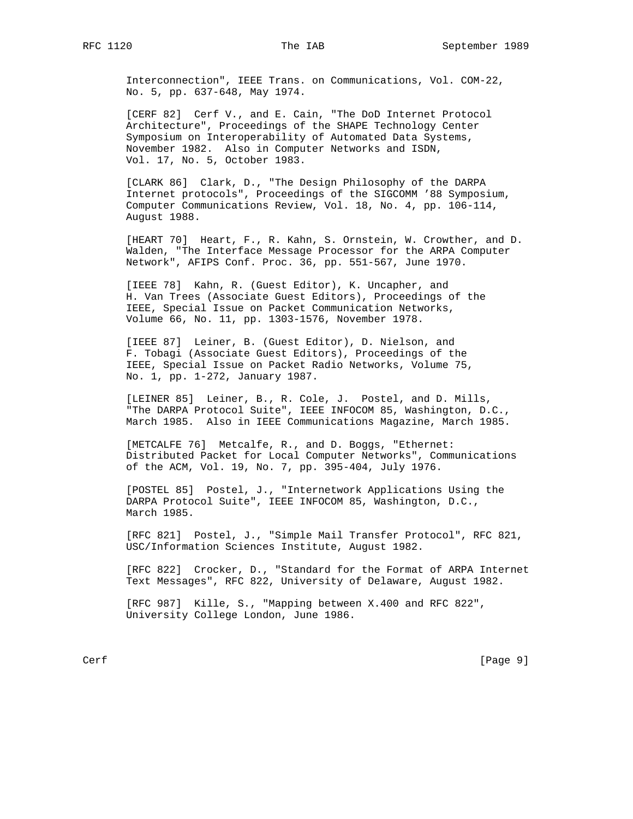Interconnection", IEEE Trans. on Communications, Vol. COM-22, No. 5, pp. 637-648, May 1974.

 [CERF 82] Cerf V., and E. Cain, "The DoD Internet Protocol Architecture", Proceedings of the SHAPE Technology Center Symposium on Interoperability of Automated Data Systems, November 1982. Also in Computer Networks and ISDN, Vol. 17, No. 5, October 1983.

 [CLARK 86] Clark, D., "The Design Philosophy of the DARPA Internet protocols", Proceedings of the SIGCOMM '88 Symposium, Computer Communications Review, Vol. 18, No. 4, pp. 106-114, August 1988.

 [HEART 70] Heart, F., R. Kahn, S. Ornstein, W. Crowther, and D. Walden, "The Interface Message Processor for the ARPA Computer Network", AFIPS Conf. Proc. 36, pp. 551-567, June 1970.

 [IEEE 78] Kahn, R. (Guest Editor), K. Uncapher, and H. Van Trees (Associate Guest Editors), Proceedings of the IEEE, Special Issue on Packet Communication Networks, Volume 66, No. 11, pp. 1303-1576, November 1978.

 [IEEE 87] Leiner, B. (Guest Editor), D. Nielson, and F. Tobagi (Associate Guest Editors), Proceedings of the IEEE, Special Issue on Packet Radio Networks, Volume 75, No. 1, pp. 1-272, January 1987.

 [LEINER 85] Leiner, B., R. Cole, J. Postel, and D. Mills, "The DARPA Protocol Suite", IEEE INFOCOM 85, Washington, D.C., March 1985. Also in IEEE Communications Magazine, March 1985.

 [METCALFE 76] Metcalfe, R., and D. Boggs, "Ethernet: Distributed Packet for Local Computer Networks", Communications of the ACM, Vol. 19, No. 7, pp. 395-404, July 1976.

 [POSTEL 85] Postel, J., "Internetwork Applications Using the DARPA Protocol Suite", IEEE INFOCOM 85, Washington, D.C., March 1985.

 [RFC 821] Postel, J., "Simple Mail Transfer Protocol", RFC 821, USC/Information Sciences Institute, August 1982.

 [RFC 822] Crocker, D., "Standard for the Format of ARPA Internet Text Messages", RFC 822, University of Delaware, August 1982.

 [RFC 987] Kille, S., "Mapping between X.400 and RFC 822", University College London, June 1986.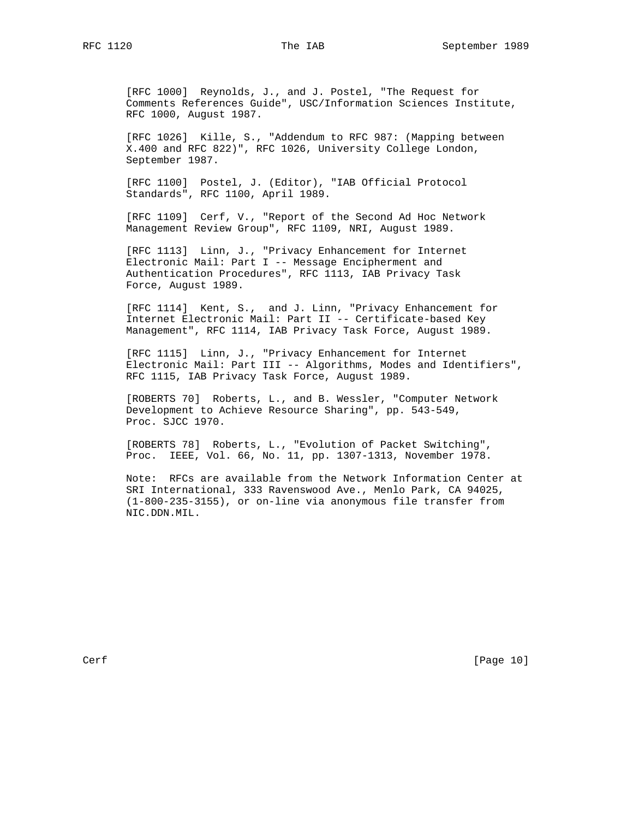[RFC 1000] Reynolds, J., and J. Postel, "The Request for Comments References Guide", USC/Information Sciences Institute, RFC 1000, August 1987.

 [RFC 1026] Kille, S., "Addendum to RFC 987: (Mapping between X.400 and RFC 822)", RFC 1026, University College London, September 1987.

 [RFC 1100] Postel, J. (Editor), "IAB Official Protocol Standards", RFC 1100, April 1989.

 [RFC 1109] Cerf, V., "Report of the Second Ad Hoc Network Management Review Group", RFC 1109, NRI, August 1989.

 [RFC 1113] Linn, J., "Privacy Enhancement for Internet Electronic Mail: Part I -- Message Encipherment and Authentication Procedures", RFC 1113, IAB Privacy Task Force, August 1989.

 [RFC 1114] Kent, S., and J. Linn, "Privacy Enhancement for Internet Electronic Mail: Part II -- Certificate-based Key Management", RFC 1114, IAB Privacy Task Force, August 1989.

 [RFC 1115] Linn, J., "Privacy Enhancement for Internet Electronic Mail: Part III -- Algorithms, Modes and Identifiers", RFC 1115, IAB Privacy Task Force, August 1989.

 [ROBERTS 70] Roberts, L., and B. Wessler, "Computer Network Development to Achieve Resource Sharing", pp. 543-549, Proc. SJCC 1970.

 [ROBERTS 78] Roberts, L., "Evolution of Packet Switching", Proc. IEEE, Vol. 66, No. 11, pp. 1307-1313, November 1978.

 Note: RFCs are available from the Network Information Center at SRI International, 333 Ravenswood Ave., Menlo Park, CA 94025, (1-800-235-3155), or on-line via anonymous file transfer from NIC.DDN.MIL.

Cerf [Page 10]